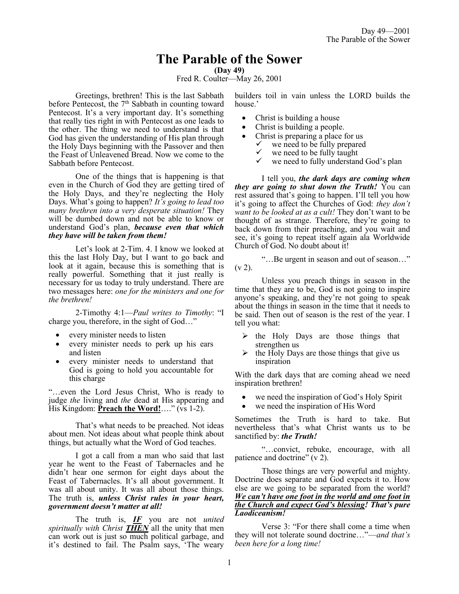# **The Parable of the Sower**

**(Day 49)**

Fred R. Coulter—May 26, 2001

Greetings, brethren! This is the last Sabbath before Pentecost, the  $7<sup>th</sup>$  Sabbath in counting toward Pentecost. It's a very important day. It's something that really ties right in with Pentecost as one leads to the other. The thing we need to understand is that God has given the understanding of His plan through the Holy Days beginning with the Passover and then the Feast of Unleavened Bread. Now we come to the Sabbath before Pentecost.

One of the things that is happening is that even in the Church of God they are getting tired of the Holy Days, and they're neglecting the Holy Days. What's going to happen? *It's going to lead too many brethren into a very desperate situation!* They will be dumbed down and not be able to know or understand God's plan, *because even that which they have will be taken from them!*

Let's look at 2-Tim. 4. I know we looked at this the last Holy Day, but I want to go back and look at it again, because this is something that is really powerful. Something that it just really is necessary for us today to truly understand. There are two messages here: *one for the ministers and one for the brethren!*

2-Timothy 4:1—*Paul writes to Timothy*: "I charge you, therefore, in the sight of God…"

- every minister needs to listen
- every minister needs to perk up his ears and listen
- every minister needs to understand that God is going to hold you accountable for this charge

"…even the Lord Jesus Christ, Who is ready to judge *the* living and *the* dead at His appearing and His Kingdom: **Preach the Word!**…." (vs 1-2).

That's what needs to be preached. Not ideas about men. Not ideas about what people think about things, but actually what the Word of God teaches.

I got a call from a man who said that last year he went to the Feast of Tabernacles and he didn't hear one sermon for eight days about the Feast of Tabernacles. It's all about government. It was all about unity. It was all about those things. The truth is, *unless Christ rules in your heart, government doesn't matter at all!*

The truth is, *IF* you are not *united spiritually with Christ THEN* all the unity that men can work out is just so much political garbage, and it's destined to fail. The Psalm says, 'The weary

builders toil in vain unless the LORD builds the house.'

- Christ is building a house
- Christ is building a people.
- Christ is preparing a place for us
	- $\checkmark$  we need to be fully prepared
	- $\checkmark$  we need to be fully taught we need to fully understand
	- we need to fully understand God's plan

I tell you, *the dark days are coming when they are going to shut down the Truth!* You can rest assured that's going to happen. I'll tell you how it's going to affect the Churches of God: *they don't want to be looked at as a cult!* They don't want to be thought of as strange. Therefore, they're going to back down from their preaching, and you wait and see, it's going to repeat itself again ala Worldwide Church of God. No doubt about it!

"…Be urgent in season and out of season…"  $(v 2)$ .

Unless you preach things in season in the time that they are to be, God is not going to inspire anyone's speaking, and they're not going to speak about the things in season in the time that it needs to be said. Then out of season is the rest of the year. I tell you what:

- $\triangleright$  the Holy Days are those things that strengthen us
- $\triangleright$  the Holy Days are those things that give us inspiration

With the dark days that are coming ahead we need inspiration brethren!

- we need the inspiration of God's Holy Spirit
- we need the inspiration of His Word

Sometimes the Truth is hard to take. But nevertheless that's what Christ wants us to be sanctified by: *the Truth!* 

"…convict, rebuke, encourage, with all patience and doctrine" (v 2).

Those things are very powerful and mighty. Doctrine does separate and God expects it to. How else are we going to be separated from the world? *We can't have one foot in the world and one foot in the Church and expect God's blessing! That's pure Laodiceanism!*

Verse 3: "For there shall come a time when they will not tolerate sound doctrine…"—*and that's been here for a long time!*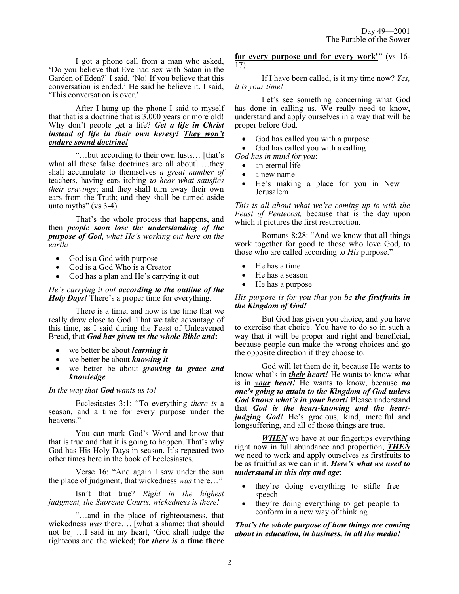I got a phone call from a man who asked, 'Do you believe that Eve had sex with Satan in the Garden of Eden?' I said, 'No! If you believe that this conversation is ended.' He said he believe it. I said, 'This conversation is over.'

After I hung up the phone I said to myself that that is a doctrine that is 3,000 years or more old! Why don't people get a life? *Get a life in Christ instead of life in their own heresy! They won't endure sound doctrine!*

"…but according to their own lusts… [that's what all these false doctrines are all about] …they shall accumulate to themselves *a great number of*  teachers, having ears itching *to hear what satisfies their cravings*; and they shall turn away their own ears from the Truth; and they shall be turned aside unto myths" ( $vs$  3-4).

That's the whole process that happens, and then *people soon lose the understanding of the purpose of God, what He's working out here on the earth!*

- God is a God with purpose
- God is a God Who is a Creator
- God has a plan and He's carrying it out

*He's carrying it out according to the outline of the Holy Days!* There's a proper time for everything.

There is a time, and now is the time that we really draw close to God. That we take advantage of this time, as I said during the Feast of Unleavened Bread, that *God has given us the whole Bible and***:**

- we better be about *learning it*
- we better be about *knowing it*
- we better be about *growing in grace and knowledge*

## *In the way that God wants us to!*

Ecclesiastes 3:1: "To everything *there is* a season, and a time for every purpose under the heavens."

You can mark God's Word and know that that is true and that it is going to happen. That's why God has His Holy Days in season. It's repeated two other times here in the book of Ecclesiastes.

Verse 16: "And again I saw under the sun the place of judgment, that wickedness *was* there…"

Isn't that true? *Right in the highest judgment, the Supreme Courts, wickedness is there!*

"…and in the place of righteousness, that wickedness *was* there…. [what a shame; that should not be] …I said in my heart, 'God shall judge the righteous and the wicked; **for** *there is* **a time there**  **for every purpose and for every work'**" (vs 16- 17).

If I have been called, is it my time now? *Yes, it is your time!*

Let's see something concerning what God has done in calling us. We really need to know, understand and apply ourselves in a way that will be proper before God.

• God has called you with a purpose

• God has called you with a calling

- *God has in mind for you*:
	- an eternal life
	- a new name
	- He's making a place for you in New Jerusalem

*This is all about what we're coming up to with the Feast of Pentecost,* because that is the day upon which it pictures the first resurrection.

Romans 8:28: "And we know that all things work together for good to those who love God, to those who are called according to *His* purpose."

- He has a time
- He has a season
- He has a purpose

## *His purpose is for you that you be the firstfruits in the Kingdom of God!*

But God has given you choice, and you have to exercise that choice. You have to do so in such a way that it will be proper and right and beneficial, because people can make the wrong choices and go the opposite direction if they choose to.

God will let them do it, because He wants to know what's in *their heart!* He wants to know what is in *your heart!* He wants to know, because *no one's going to attain to the Kingdom of God unless God knows what's in your heart!* Please understand that *God is the heart-knowing and the heartjudging God!* He's gracious, kind, merciful and longsuffering, and all of those things are true.

*WHEN* we have at our fingertips everything right now in full abundance and proportion, *THEN* we need to work and apply ourselves as firstfruits to be as fruitful as we can in it. *Here's what we need to understand in this day and age*:

- they're doing everything to stifle free speech
- they're doing everything to get people to conform in a new way of thinking

## *That's the whole purpose of how things are coming about in education, in business, in all the media!*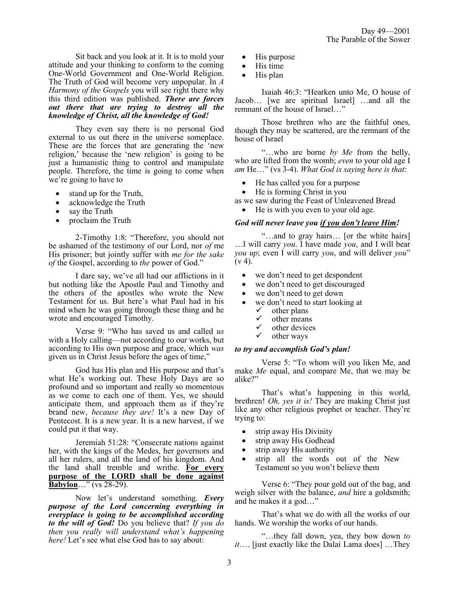Sit back and you look at it. It is to mold your attitude and your thinking to conform to the coming One-World Government and One-World Religion. The Truth of God will become very unpopular. In *A Harmony of the Gospels* you will see right there why this third edition was published. *There are forces out there that are trying to destroy all the knowledge of Christ, all the knowledge of God!*

They even say there is no personal God external to us out there in the universe someplace. These are the forces that are generating the 'new religion,' because the 'new religion' is going to be just a humanistic thing to control and manipulate people. Therefore, the time is going to come when we're going to have to

- stand up for the Truth,
- acknowledge the Truth
- say the Truth
- proclaim the Truth

2-Timothy 1:8: "Therefore, you should not be ashamed of the testimony of our Lord, nor *of* me His prisoner; but jointly suffer with *me for the sake of* the Gospel, according to *the* power of God."

I dare say, we've all had our afflictions in it but nothing like the Apostle Paul and Timothy and the others of the apostles who wrote the New Testament for us. But here's what Paul had in his mind when he was going through these thing and he wrote and encouraged Timothy.

Verse 9: "Who has saved us and called *us* with a Holy calling—not according to our works, but according to His own purpose and grace, which *was* given us in Christ Jesus before the ages of time,"

God has His plan and His purpose and that's what He's working out. These Holy Days are so profound and so important and really so momentous as we come to each one of them. Yes, we should anticipate them, and approach them as if they're brand new, *because they are!* It's a new Day of Pentecost. It is a new year. It is a new harvest, if we could put it that way.

Jeremiah 51:28: "Consecrate nations against her, with the kings of the Medes, her governors and all her rulers, and all the land of his kingdom. And the land shall tremble and writhe. **For every purpose of the LORD shall be done against Babylon**…" (vs 28-29).

Now let's understand something. *Every purpose of the Lord concerning everything in everyplace is going to be accomplished according to the will of God!* Do you believe that? *If you do then you really will understand what's happening here!* Let's see what else God has to say about:

- His purpose
- His time
- His plan

Isaiah 46:3: "Hearken unto Me, O house of Jacob… [we are spiritual Israel] …and all the remnant of the house of Israel…"

Those brethren who are the faithful ones, though they may be scattered, are the remnant of the house of Israel

"…who are borne *by Me* from the belly, who are lifted from the womb; *even* to your old age I *am* He…" (vs 3-4). *What God is saying here is that*:

- He has called you for a purpose
- He is forming Christ in you

as we saw during the Feast of Unleavened Bread

• He is with you even to your old age.

#### *God will never leave you if you don't leave Him!*

"…and to gray hairs… [or the white hairs] …I will carry *you*. I have made *you*, and I will bear *you up*; even I will carry *you*, and will deliver *you*"  $(v 4)$ .

- we don't need to get despondent
- we don't need to get discouraged
- we don't need to get down
- we don't need to start looking at  $\checkmark$  other plans
	- $\checkmark$  other plans
	- $\checkmark$  other means
	- $\checkmark$  other devices
	- other ways

#### *to try and accomplish God's plan!*

Verse 5: "To whom will you liken Me, and make *Me* equal, and compare Me, that we may be alike?"

That's what's happening in this world, brethren! *Oh, yes it is!* They are making Christ just like any other religious prophet or teacher. They're trying to:

- strip away His Divinity
- strip away His Godhead
- strip away His authority
- strip all the words out of the New Testament so you won't believe them

Verse 6: "They pour gold out of the bag, and weigh silver with the balance, *and* hire a goldsmith; and he makes it a god…"

That's what we do with all the works of our hands. We worship the works of our hands.

"…they fall down, yea, they bow down *to it*…. [just exactly like the Dalai Lama does] …They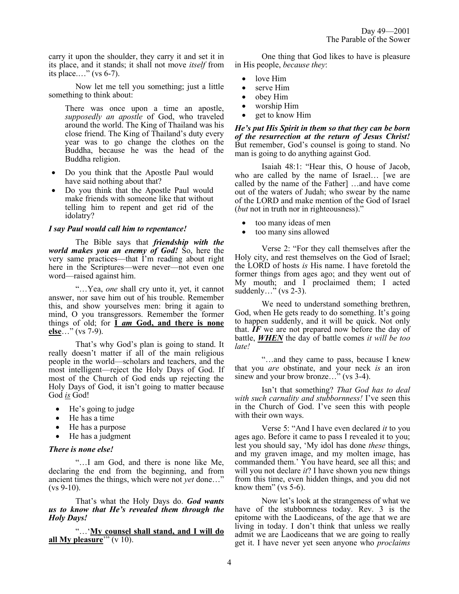carry it upon the shoulder, they carry it and set it in its place, and it stands; it shall not move *itself* from its place.…" (vs 6-7).

Now let me tell you something; just a little something to think about:

There was once upon a time an apostle, *supposedly an apostle* of God, who traveled around the world. The King of Thailand was his close friend. The King of Thailand's duty every year was to go change the clothes on the Buddha, because he was the head of the Buddha religion.

- Do you think that the Apostle Paul would have said nothing about that?
- Do you think that the Apostle Paul would make friends with someone like that without telling him to repent and get rid of the idolatry?

#### *I say Paul would call him to repentance!*

The Bible says that *friendship with the world makes you an enemy of God!* So, here the very same practices—that I'm reading about right here in the Scriptures—were never—not even one word—raised against him.

"…Yea, *one* shall cry unto it, yet, it cannot answer, nor save him out of his trouble. Remember this, and show yourselves men: bring it again to mind, O you transgressors. Remember the former things of old; for **I** *am* **God, and there is none else**…" (vs 7-9).

That's why God's plan is going to stand. It really doesn't matter if all of the main religious people in the world—scholars and teachers, and the most intelligent—reject the Holy Days of God. If most of the Church of God ends up rejecting the Holy Days of God, it isn't going to matter because God *is* God!

- He's going to judge
- He has a time
- He has a purpose
- He has a judgment

## *There is none else!*

"…I am God, and there is none like Me, declaring the end from the beginning, and from ancient times the things, which were not *yet* done…"  $(vs 9-10)$ .

That's what the Holy Days do. *God wants us to know that He's revealed them through the Holy Days!* 

"…'**My counsel shall stand, and I will do all My pleasure**'" (v 10).

One thing that God likes to have is pleasure in His people, *because they*:

- love Him
- serve Him
- obey Him
- worship Him
- get to know Him

*He's put His Spirit in them so that they can be born of the resurrection at the return of Jesus Christ!* But remember, God's counsel is going to stand. No man is going to do anything against God.

Isaiah 48:1: "Hear this, O house of Jacob, who are called by the name of Israel… [we are called by the name of the Father] …and have come out of the waters of Judah; who swear by the name of the LORD and make mention of the God of Israel (*but* not in truth nor in righteousness)."

- too many ideas of men
- too many sins allowed

Verse 2: "For they call themselves after the Holy city, and rest themselves on the God of Israel; the LORD of hosts *is* His name. I have foretold the former things from ages ago; and they went out of My mouth; and I proclaimed them; I acted suddenly..." ( $vs$  2-3).

We need to understand something brethren, God, when He gets ready to do something. It's going to happen suddenly, and it will be quick. Not only that. *IF* we are not prepared now before the day of battle, *WHEN* the day of battle comes *it will be too late!*

"…and they came to pass, because I knew that you *are* obstinate, and your neck *is* an iron sinew and your brow bronze..." (vs 3-4).

Isn't that something? *That God has to deal with such carnality and stubbornness!* I've seen this in the Church of God. I've seen this with people with their own ways.

Verse 5: "And I have even declared *it* to you ages ago. Before it came to pass I revealed it to you; lest you should say, 'My idol has done *these* things, and my graven image, and my molten image, has commanded them.' You have heard, see all this; and will you not declare *it*? I have shown you new things from this time, even hidden things, and you did not know them" (vs 5-6).

Now let's look at the strangeness of what we have of the stubbornness today. Rev. 3 is the epitome with the Laodiceans, of the age that we are living in today. I don't think that unless we really admit we are Laodiceans that we are going to really get it. I have never yet seen anyone who *proclaims*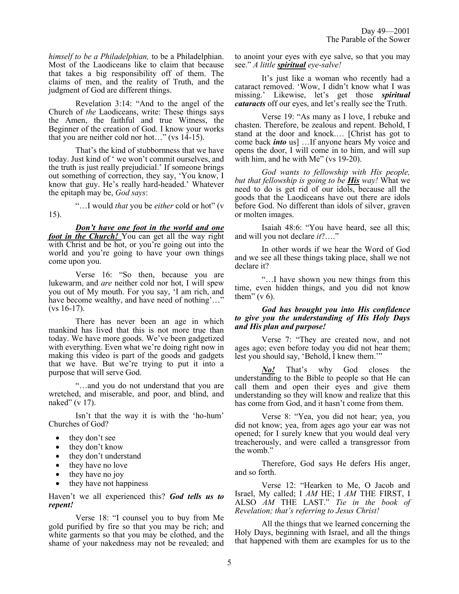*himself to be a Philadelphian,* to be a Philadelphian. Most of the Laodiceans like to claim that because that takes a big responsibility off of them. The claims of men, and the reality of Truth, and the judgment of God are different things.

Revelation 3:14: "And to the angel of the Church of *the* Laodiceans, write: These things says the Amen, the faithful and true Witness, the Beginner of the creation of God. I know your works that you are neither cold nor hot…" (vs 14-15).

That's the kind of stubbornness that we have today. Just kind of ' we won't commit ourselves, and the truth is just really prejudicial.' If someone brings out something of correction, they say, 'You know, I know that guy. He's really hard-headed.' Whatever the epitaph may be, *God says*:

"…I would *that* you be *either* cold or hot" (v 15).

*Don't have one foot in the world and one foot in the Church!* You can get all the way right with Christ and be hot, or you're going out into the world and you're going to have your own things come upon you.

Verse 16: "So then, because you are lukewarm, and *are* neither cold nor hot, I will spew you out of My mouth. For you say, 'I am rich, and have become wealthy, and have need of nothing'..."  $(vs 16-17)$ .

There has never been an age in which mankind has lived that this is not more true than today. We have more goods. We've been gadgetized with everything. Even what we're doing right now in making this video is part of the goods and gadgets that we have. But we're trying to put it into a purpose that will serve God.

"…and you do not understand that you are wretched, and miserable, and poor, and blind, and naked" (v 17).

Isn't that the way it is with the 'ho-hum' Churches of God?

- they don't see
- they don't know
- they don't understand
- they have no love
- they have no joy
- they have not happiness

Haven't we all experienced this? *God tells us to repent!* 

Verse 18: "I counsel you to buy from Me gold purified by fire so that you may be rich; and white garments so that you may be clothed, and the shame of your nakedness may not be revealed; and to anoint your eyes with eye salve, so that you may see." *A little spiritual eye-salve!*

It's just like a woman who recently had a cataract removed. 'Wow, I didn't know what I was missing.' Likewise, let's get those *spiritual cataracts* off our eyes, and let's really see the Truth.

Verse 19: "As many as I love, I rebuke and chasten. Therefore, be zealous and repent. Behold, I stand at the door and knock.… [Christ has got to come back *into* us] …If anyone hears My voice and opens the door, I will come in to him, and will sup with him, and he with Me" (vs 19-20).

*God wants to fellowship with His people, but that fellowship is going to be His way!* What we need to do is get rid of our idols, because all the goods that the Laodiceans have out there are idols before God. No different than idols of silver, graven or molten images.

Isaiah 48:6: "You have heard, see all this; and will you not declare *it*?…."

In other words if we hear the Word of God and we see all these things taking place, shall we not declare it?

"…I have shown you new things from this time, even hidden things, and you did not know them"  $(v 6)$ .

#### *God has brought you into His confidence to give you the understanding of His Holy Days and His plan and purpose!*

Verse 7: "They are created now, and not ages ago; even before today you did not hear them; lest you should say, 'Behold, I knew them.'"

*No!* That's why God closes the understanding to the Bible to people so that He can call them and open their eyes and give them understanding so they will know and realize that this has come from God, and it hasn't come from them.

Verse 8: "Yea, you did not hear; yea, you did not know; yea, from ages ago your ear was not opened; for I surely knew that you would deal very treacherously, and were called a transgressor from the womb."

Therefore, God says He defers His anger, and so forth.

Verse 12: "Hearken to Me, O Jacob and Israel, My called; I *AM* HE; I *AM* THE FIRST, I ALSO *AM* THE LAST." *Tie in the book of Revelation; that's referring to Jesus Christ!*

All the things that we learned concerning the Holy Days, beginning with Israel, and all the things that happened with them are examples for us to the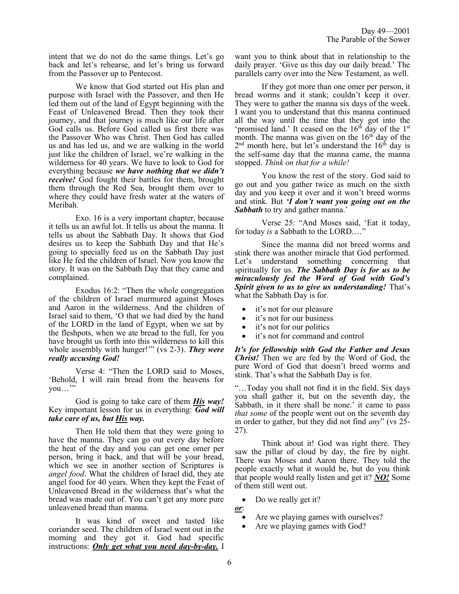intent that we do not do the same things. Let's go back and let's rehearse, and let's bring us forward from the Passover up to Pentecost.

We know that God started out His plan and purpose with Israel with the Passover, and then He led them out of the land of Egypt beginning with the Feast of Unleavened Bread. Then they took their journey, and that journey is much like our life after God calls us. Before God called us first there was the Passover Who was Christ. Then God has called us and has led us, and we are walking in the world just like the children of Israel, we're walking in the wilderness for 40 years. We have to look to God for everything because *we have nothing that we didn't receive!* God fought their battles for them, brought them through the Red Sea, brought them over to where they could have fresh water at the waters of Meribah.

Exo. 16 is a very important chapter, because it tells us an awful lot. It tells us about the manna. It tells us about the Sabbath Day. It shows that God desires us to keep the Sabbath Day and that He's going to specially feed us on the Sabbath Day just like He fed the children of Israel. Now you know the story. It was on the Sabbath Day that they came and complained.

Exodus 16:2: "Then the whole congregation of the children of Israel murmured against Moses and Aaron in the wilderness. And the children of Israel said to them, 'O that we had died by the hand of the LORD in the land of Egypt, when we sat by the fleshpots, when we ate bread to the full, for you have brought us forth into this wilderness to kill this whole assembly with hunger!'" (vs 2-3). *They were really accusing God!*

Verse 4: "Then the LORD said to Moses, 'Behold, I will rain bread from the heavens for you..."

God is going to take care of them *His way!* Key important lesson for us in everything: *God will take care of us, but His way.*

Then He told them that they were going to have the manna. They can go out every day before the heat of the day and you can get one omer per person, bring it back, and that will be your bread, which we see in another section of Scriptures is *angel food*. What the children of Israel did, they ate angel food for 40 years. When they kept the Feast of Unleavened Bread in the wilderness that's what the bread was made out of. You can't get any more pure unleavened bread than manna.

It was kind of sweet and tasted like coriander seed. The children of Israel went out in the morning and they got it. God had specific instructions: *Only get what you need day-by-day.* I want you to think about that in relationship to the daily prayer. 'Give us this day our daily bread.' The parallels carry over into the New Testament, as well.

If they got more than one omer per person, it bread worms and it stank; couldn't keep it over. They were to gather the manna six days of the week. I want you to understand that this manna continued all the way until the time that they got into the 'promised land.' It ceased on the  $16<sup>th</sup>$  day of the  $1<sup>st</sup>$ month. The manna was given on the  $16<sup>th</sup>$  day of the  $2<sup>nd</sup>$  month here, but let's understand the  $16<sup>th</sup>$  day is the self-same day that the manna came, the manna stopped. *Think on that for a while!*

You know the rest of the story. God said to go out and you gather twice as much on the sixth day and you keep it over and it won't breed worms and stink. But *'I don't want you going out on the Sabbath* to try and gather manna.'

Verse 25: "And Moses said, 'Eat it today, for today *is* a Sabbath to the LORD.…"

Since the manna did not breed worms and stink there was another miracle that God performed. Let's understand something concerning that spiritually for us. *The Sabbath Day is for us to be miraculously fed the Word of God with God's Spirit given to us to give us understanding!* That's what the Sabbath Day is for.

- it's not for our pleasure
- it's not for our business
- it's not for our politics
- it's not for command and control

*It's for fellowship with God the Father and Jesus Christ!* Then we are fed by the Word of God, the pure Word of God that doesn't breed worms and stink. That's what the Sabbath Day is for.

"…Today you shall not find it in the field. Six days you shall gather it, but on the seventh day, the Sabbath, in it there shall be none.' it came to pass *that some* of the people went out on the seventh day in order to gather, but they did not find *any*" (vs 25- 27).

Think about it! God was right there. They saw the pillar of cloud by day, the fire by night. There was Moses and Aaron there. They told the people exactly what it would be, but do you think that people would really listen and get it? *NO!* Some of them still went out.

- Do we really get it?
- *or*:
	- Are we playing games with ourselves?
	- Are we playing games with God?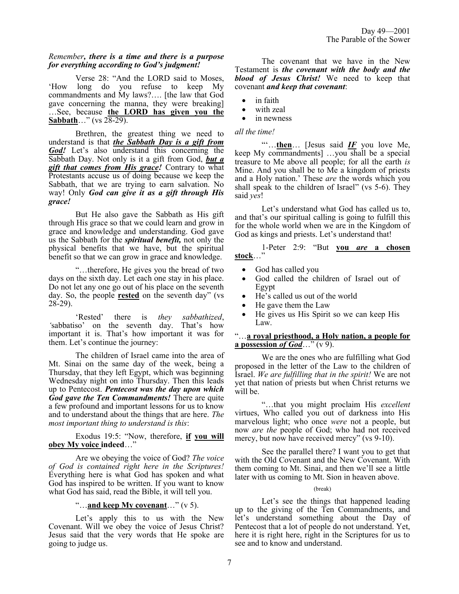## *Remember, there is a time and there is a purpose for everything according to God's judgment!*

Verse 28: "And the LORD said to Moses, 'How long do you refuse to keep My commandments and My laws?…. [the law that God gave concerning the manna, they were breaking] …See, because **the LORD has given you the Sabbath**…" (vs 28-29).

Brethren, the greatest thing we need to understand is that *the Sabbath Day is a gift from God!* Let's also understand this concerning the Sabbath Day. Not only is it a gift from God, *but a gift that comes from His grace!* Contrary to what Protestants accuse us of doing because we keep the Sabbath, that we are trying to earn salvation. No way! Only *God can give it as a gift through His grace!*

But He also gave the Sabbath as His gift through His grace so that we could learn and grow in grace and knowledge and understanding. God gave us the Sabbath for the *spiritual benefit,* not only the physical benefits that we have, but the spiritual benefit so that we can grow in grace and knowledge.

"…therefore, He gives you the bread of two days on the sixth day. Let each one stay in his place. Do not let any one go out of his place on the seventh day. So, the people **rested** on the seventh day" (vs 28-29).

'Rested' there is *they sabbathized*, so' on the seventh day. That's how 'sabbatiso' on the seventh day. important it is. That's how important it was for them. Let's continue the journey:

The children of Israel came into the area of Mt. Sinai on the same day of the week, being a Thursday, that they left Egypt, which was beginning Wednesday night on into Thursday. Then this leads up to Pentecost. *Pentecost was the day upon which God gave the Ten Commandments!* There are quite a few profound and important lessons for us to know and to understand about the things that are here. *The most important thing to understand is this*:

Exodus 19:5: "Now, therefore, **if you will obey My voice indeed**…"

Are we obeying the voice of God? *The voice of God is contained right here in the Scriptures!* Everything here is what God has spoken and what God has inspired to be written. If you want to know what God has said, read the Bible, it will tell you.

## "…**and keep My covenant**…" (v 5).

Let's apply this to us with the New Covenant. Will we obey the voice of Jesus Christ? Jesus said that the very words that He spoke are going to judge us.

The covenant that we have in the New Testament is *the covenant with the body and the blood of Jesus Christ!* We need to keep that covenant *and keep that covenant*:

- in faith
- with zeal
- in newness

## *all the time!*

"'…**then**… [Jesus said *IF* you love Me, keep My commandments] …you shall be a special treasure to Me above all people; for all the earth *is* Mine. And you shall be to Me a kingdom of priests and a Holy nation.' These *are* the words which you shall speak to the children of Israel" (vs 5-6). They said *yes*!

Let's understand what God has called us to, and that's our spiritual calling is going to fulfill this for the whole world when we are in the Kingdom of God as kings and priests. Let's understand that!

1-Peter 2:9: "But **you** *are* **a chosen stock**…"

- God has called you
- God called the children of Israel out of Egypt
- He's called us out of the world
- He gave them the Law
- He gives us His Spirit so we can keep His Law.

## "…**a royal priesthood, a Holy nation, a people for a possession** *of God*…" (v 9).

We are the ones who are fulfilling what God proposed in the letter of the Law to the children of Israel. *We are fulfilling that in the spirit!* We are not yet that nation of priests but when Christ returns we will be.

"…that you might proclaim His *excellent* virtues, Who called you out of darkness into His marvelous light; who once *were* not a people, but now *are the* people of God; who had not received mercy, but now have received mercy" (vs 9-10).

See the parallel there? I want you to get that with the Old Covenant and the New Covenant. With them coming to Mt. Sinai, and then we'll see a little later with us coming to Mt. Sion in heaven above.

## (break)

Let's see the things that happened leading up to the giving of the Ten Commandments, and let's understand something about the Day of Pentecost that a lot of people do not understand. Yet, here it is right here, right in the Scriptures for us to see and to know and understand.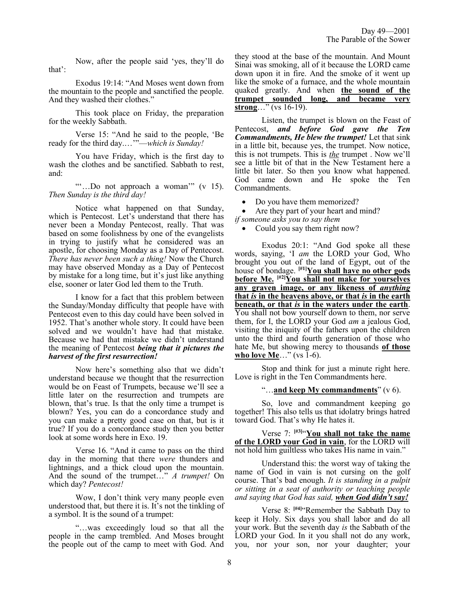This took place on Friday, the preparation for the weekly Sabbath.

Now, after the people said 'yes, they'll do

Exodus 19:14: "And Moses went down from

Verse 15: "And he said to the people, 'Be ready for the third day.…'"—*which is Sunday!*

the mountain to the people and sanctified the people.

And they washed their clothes."

that':

You have Friday, which is the first day to wash the clothes and be sanctified. Sabbath to rest, and:

""...Do not approach a woman" (v 15). *Then Sunday is the third day!*

Notice what happened on that Sunday, which is Pentecost. Let's understand that there has never been a Monday Pentecost, really. That was based on some foolishness by one of the evangelists in trying to justify what he considered was an apostle, for choosing Monday as a Day of Pentecost. *There has never been such a thing!* Now the Church may have observed Monday as a Day of Pentecost by mistake for a long time, but it's just like anything else, sooner or later God led them to the Truth.

I know for a fact that this problem between the Sunday/Monday difficulty that people have with Pentecost even to this day could have been solved in 1952. That's another whole story. It could have been solved and we wouldn't have had that mistake. Because we had that mistake we didn't understand the meaning of Pentecost *being that it pictures the harvest of the first resurrection!*

Now here's something also that we didn't understand because we thought that the resurrection would be on Feast of Trumpets, because we'll see a little later on the resurrection and trumpets are blown, that's true. Is that the only time a trumpet is blown? Yes, you can do a concordance study and you can make a pretty good case on that, but is it true? If you do a concordance study then you better look at some words here in Exo. 19.

Verse 16. "And it came to pass on the third day in the morning that there *were* thunders and lightnings, and a thick cloud upon the mountain. And the sound of the trumpet…" *A trumpet!* On which day? *Pentecost!*

Wow, I don't think very many people even understood that, but there it is. It's not the tinkling of a symbol. It is the sound of a trumpet:

"…was exceedingly loud so that all the people in the camp trembled. And Moses brought the people out of the camp to meet with God. And they stood at the base of the mountain. And Mount Sinai was smoking, all of it because the LORD came down upon it in fire. And the smoke of it went up like the smoke of a furnace, and the whole mountain quaked greatly. And when **the sound of the trumpet sounded long, and became very strong**…" (vs 16-19).

Listen, the trumpet is blown on the Feast of Pentecost, *and before God gave the Ten Commandments, He blew the trumpet!* Let that sink in a little bit, because yes, the trumpet. Now notice, this is not trumpets. This is *the* trumpet . Now we'll see a little bit of that in the New Testament here a little bit later. So then you know what happened. God came down and He spoke the Ten Commandments.

• Do you have them memorized?

Are they part of your heart and mind? *if someone asks you to say them* 

• Could you say them right now?

Exodus 20:1: "And God spoke all these words, saying, 'I *am* the LORD your God, Who brought you out of the land of Egypt, out of the house of bondage. **[#1]You shall have no other gods before Me. [#2]You shall not make for yourselves any graven image, or any likeness of** *anything* **that** *is* **in the heavens above, or that** *is* **in the earth beneath, or that** *is* **in the waters under the earth**. You shall not bow yourself down to them, nor serve them, for I, the LORD your God *am* a jealous God, visiting the iniquity of the fathers upon the children unto the third and fourth generation of those who hate Me, but showing mercy to thousands **of those who love Me...**" (vs 1-6).

Stop and think for just a minute right here. Love is right in the Ten Commandments here.

#### "…**and keep My commandments**" (v 6).

So, love and commandment keeping go together! This also tells us that idolatry brings hatred toward God. That's why He hates it.

Verse 7: **[#3]** "**You shall not take the name of the LORD your God in vain**, for the LORD will not hold him guiltless who takes His name in vain."

Understand this: the worst way of taking the name of God in vain is not cursing on the golf course. That's bad enough. *It is standing in a pulpit or sitting in a seat of authority or teaching people and saying that God has said, when God didn't say!*

Verse 8: **[#4]**"Remember the Sabbath Day to keep it Holy. Six days you shall labor and do all your work. But the seventh day *is* the Sabbath of the LORD your God. In it you shall not do any work, you, nor your son, nor your daughter; your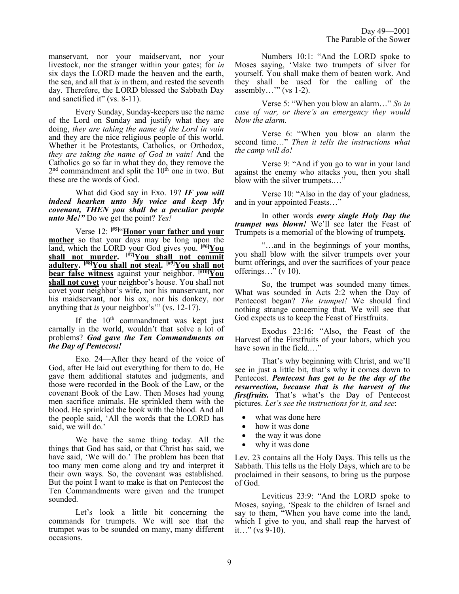manservant, nor your maidservant, nor your livestock, nor the stranger within your gates; for *in* six days the LORD made the heaven and the earth, the sea, and all that *is* in them, and rested the seventh day. Therefore, the LORD blessed the Sabbath Day and sanctified it" (vs. 8-11).

Every Sunday, Sunday-keepers use the name of the Lord on Sunday and justify what they are doing, *they are taking the name of the Lord in vain* and they are the nice religious people of this world. Whether it be Protestants, Catholics, or Orthodox, *they are taking the name of God in vain!* And the Catholics go so far in what they do, they remove the  $2<sup>nd</sup>$  commandment and split the  $10<sup>th</sup>$  one in two. But these are the words of God.

What did God say in Exo. 19? *IF you will indeed hearken unto My voice and keep My covenant, THEN you shall be a peculiar people unto Me!"* Do we get the point? *Yes!*

Verse 12: **[#5]** "**Honor your father and your mother** so that your days may be long upon the land, which the LORD your God gives you. **[#6]You shall not murder. [#7]You shall not commit adultery. [#8]You shall not steal. [#9]You shall not bear false witness** against your neighbor. **[#10]You shall not covet** your neighbor's house. You shall not covet your neighbor's wife, nor his manservant, nor his maidservant, nor his ox, nor his donkey, nor anything that *is* your neighbor's'" (vs. 12-17).

If the  $10<sup>th</sup>$  commandment was kept just carnally in the world, wouldn't that solve a lot of problems? *God gave the Ten Commandments on the Day of Pentecost!*

Exo. 24—After they heard of the voice of God, after He laid out everything for them to do, He gave them additional statutes and judgments, and those were recorded in the Book of the Law, or the covenant Book of the Law. Then Moses had young men sacrifice animals. He sprinkled them with the blood. He sprinkled the book with the blood. And all the people said, 'All the words that the LORD has said, we will do.'

We have the same thing today. All the things that God has said, or that Christ has said, we have said, 'We will do.' The problem has been that too many men come along and try and interpret it their own ways. So, the covenant was established. But the point I want to make is that on Pentecost the Ten Commandments were given and the trumpet sounded.

Let's look a little bit concerning the commands for trumpets. We will see that the trumpet was to be sounded on many, many different occasions.

Numbers 10:1: "And the LORD spoke to Moses saying, 'Make two trumpets of silver for yourself. You shall make them of beaten work. And they shall be used for the calling of the assembly..." (vs  $1-2$ ).

Verse 5: "When you blow an alarm…" *So in case of war, or there's an emergency they would blow the alarm.* 

Verse 6: "When you blow an alarm the second time…" *Then it tells the instructions what the camp will do!*

Verse 9: "And if you go to war in your land against the enemy who attacks you, then you shall blow with the silver trumpets...."

Verse 10: "Also in the day of your gladness, and in your appointed Feasts…"

In other words *every single Holy Day the trumpet was blown!* We'll see later the Feast of Trumpets is a memorial of the blowing of trumpet**s**.

"…and in the beginnings of your months, you shall blow with the silver trumpets over your burnt offerings, and over the sacrifices of your peace offerings..." (v 10).

So, the trumpet was sounded many times. What was sounded in Acts 2:2 when the Day of Pentecost began? *The trumpet!* We should find nothing strange concerning that. We will see that God expects us to keep the Feast of Firstfruits.

Exodus 23:16: "Also, the Feast of the Harvest of the Firstfruits of your labors, which you have sown in the field...."

That's why beginning with Christ, and we'll see in just a little bit, that's why it comes down to Pentecost. *Pentecost has got to be the day of the resurrection, because that is the harvest of the firstfruits.* That's what's the Day of Pentecost pictures. *Let's see the instructions for it, and see*:

- what was done here
- how it was done
- the way it was done
- why it was done

Lev. 23 contains all the Holy Days. This tells us the Sabbath. This tells us the Holy Days, which are to be proclaimed in their seasons, to bring us the purpose of God.

Leviticus 23:9: "And the LORD spoke to Moses, saying, 'Speak to the children of Israel and say to them, "When you have come into the land, which I give to you, and shall reap the harvest of it…" (vs 9-10).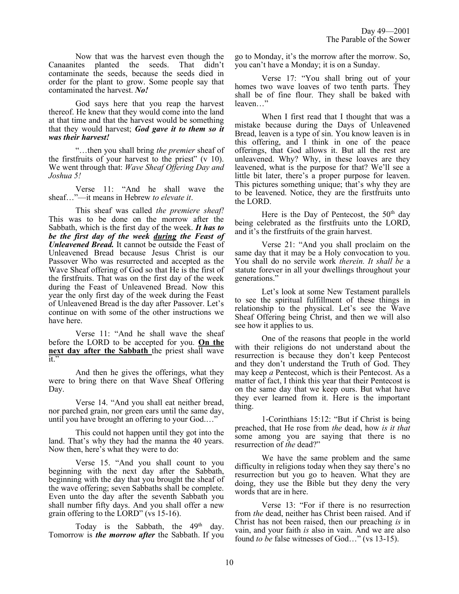Now that was the harvest even though the Canaanites planted the seeds. That didn't contaminate the seeds, because the seeds died in order for the plant to grow. Some people say that contaminated the harvest. *No!*

God says here that you reap the harvest thereof. He knew that they would come into the land at that time and that the harvest would be something that they would harvest; *God gave it to them so it was their harvest!*

"…then you shall bring *the premier* sheaf of the firstfruits of your harvest to the priest" (v 10). We went through that: *Wave Sheaf Offering Day and Joshua 5!*

Verse 11: "And he shall wave the sheaf…"—it means in Hebrew *to elevate it*.

This sheaf was called *the premiere sheaf!* This was to be done on the morrow after the Sabbath, which is the first day of the week. *It has to be the first day of the week during the Feast of Unleavened Bread.* It cannot be outside the Feast of Unleavened Bread because Jesus Christ is our Passover Who was resurrected and accepted as the Wave Sheaf offering of God so that He is the first of the firstfruits. That was on the first day of the week during the Feast of Unleavened Bread. Now this year the only first day of the week during the Feast of Unleavened Bread is the day after Passover. Let's continue on with some of the other instructions we have here.

Verse 11: "And he shall wave the sheaf before the LORD to be accepted for you. **On the next day after the Sabbath** the priest shall wave  $\overline{it}$ "

And then he gives the offerings, what they were to bring there on that Wave Sheaf Offering Day.

Verse 14. "And you shall eat neither bread, nor parched grain, nor green ears until the same day, until you have brought an offering to your God...."

This could not happen until they got into the land. That's why they had the manna the 40 years. Now then, here's what they were to do:

Verse 15. "And you shall count to you beginning with the next day after the Sabbath, beginning with the day that you brought the sheaf of the wave offering; seven Sabbaths shall be complete. Even unto the day after the seventh Sabbath you shall number fifty days. And you shall offer a new grain offering to the LORD" (vs 15-16).

Today is the Sabbath, the  $49<sup>th</sup>$  day. Tomorrow is *the morrow after* the Sabbath. If you go to Monday, it's the morrow after the morrow. So, you can't have a Monday; it is on a Sunday.

Verse 17: "You shall bring out of your homes two wave loaves of two tenth parts. They shall be of fine flour. They shall be baked with leaven…"

When I first read that I thought that was a mistake because during the Days of Unleavened Bread, leaven is a type of sin. You know leaven is in this offering, and I think in one of the peace offerings, that God allows it. But all the rest are unleavened. Why? Why, in these loaves are they leavened, what is the purpose for that? We'll see a little bit later, there's a proper purpose for leaven. This pictures something unique; that's why they are to be leavened. Notice, they are the firstfruits unto the LORD.

Here is the Day of Pentecost, the  $50<sup>th</sup>$  day being celebrated as the firstfruits unto the LORD, and it's the firstfruits of the grain harvest.

Verse 21: "And you shall proclaim on the same day that it may be a Holy convocation to you. You shall do no servile work *therein. It shall be* a statute forever in all your dwellings throughout your generations."

Let's look at some New Testament parallels to see the spiritual fulfillment of these things in relationship to the physical. Let's see the Wave Sheaf Offering being Christ, and then we will also see how it applies to us.

One of the reasons that people in the world with their religions do not understand about the resurrection is because they don't keep Pentecost and they don't understand the Truth of God. They may keep *a* Pentecost, which is their Pentecost. As a matter of fact, I think this year that their Pentecost is on the same day that we keep ours. But what have they ever learned from it. Here is the important thing.

1-Corinthians 15:12: "But if Christ is being preached, that He rose from *the* dead, how *is it that* some among you are saying that there is no resurrection of *the* dead?"

We have the same problem and the same difficulty in religions today when they say there's no resurrection but you go to heaven. What they are doing, they use the Bible but they deny the very words that are in here.

Verse 13: "For if there is no resurrection from *the* dead, neither has Christ been raised. And if Christ has not been raised, then our preaching *is* in vain, and your faith *is* also in vain. And we are also found *to be* false witnesses of God…" (vs 13-15).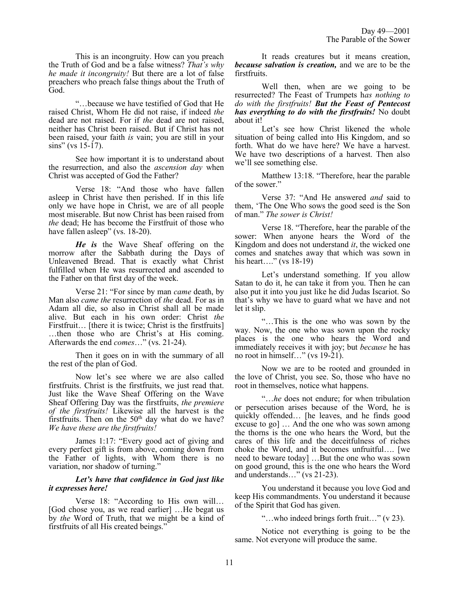This is an incongruity. How can you preach the Truth of God and be a false witness? *That's why he made it incongruity!* But there are a lot of false preachers who preach false things about the Truth of God.

"…because we have testified of God that He raised Christ, Whom He did not raise, if indeed *the* dead are not raised. For if *the* dead are not raised, neither has Christ been raised. But if Christ has not been raised, your faith *is* vain; you are still in your  $\sin s$ " (vs 15-17).

See how important it is to understand about the resurrection, and also the *ascension day* when Christ was accepted of God the Father?

Verse 18: "And those who have fallen asleep in Christ have then perished. If in this life only we have hope in Christ, we are of all people most miserable. But now Christ has been raised from *the* dead; He has become the Firstfruit of those who have fallen asleep" (vs. 18-20).

*He is* the Wave Sheaf offering on the morrow after the Sabbath during the Days of Unleavened Bread. That is exactly what Christ fulfilled when He was resurrected and ascended to the Father on that first day of the week.

Verse 21: "For since by man *came* death, by Man also *came the* resurrection of *the* dead. For as in Adam all die, so also in Christ shall all be made alive. But each in his own order: Christ *the* Firstfruit... [there it is twice; Christ is the firstfruits] …then those who are Christ's at His coming. Afterwards the end *comes*…" (vs. 21-24).

Then it goes on in with the summary of all the rest of the plan of God.

Now let's see where we are also called firstfruits. Christ is the firstfruits, we just read that. Just like the Wave Sheaf Offering on the Wave Sheaf Offering Day was the firstfruits, *the premiere of the firstfruits!* Likewise all the harvest is the firstfruits. Then on the  $50<sup>th</sup>$  day what do we have? *We have these are the firstfruits!*

James 1:17: "Every good act of giving and every perfect gift is from above, coming down from the Father of lights, with Whom there is no variation, nor shadow of turning."

## *Let's have that confidence in God just like it expresses here!*

Verse 18: "According to His own will… [God chose you, as we read earlier] …He begat us by *the* Word of Truth, that we might be a kind of firstfruits of all His created beings."

It reads creatures but it means creation, *because salvation is creation,* and we are to be the firstfruits.

Well then, when are we going to be resurrected? The Feast of Trumpets h*as nothing to do with the firstfruits! But the Feast of Pentecost has everything to do with the firstfruits!* No doubt about it!

Let's see how Christ likened the whole situation of being called into His Kingdom, and so forth. What do we have here? We have a harvest. We have two descriptions of a harvest. Then also we'll see something else.

Matthew 13:18. "Therefore, hear the parable of the sower."

Verse 37: "And He answered *and* said to them, 'The One Who sows the good seed is the Son of man." *The sower is Christ!* 

Verse 18. "Therefore, hear the parable of the sower: When anyone hears the Word of the Kingdom and does not understand *it*, the wicked one comes and snatches away that which was sown in his heart...." (vs 18-19)

Let's understand something. If you allow Satan to do it, he can take it from you. Then he can also put it into you just like he did Judas Iscariot. So that's why we have to guard what we have and not let it slip.

"…This is the one who was sown by the way. Now, the one who was sown upon the rocky places is the one who hears the Word and immediately receives it with joy; but *because* he has no root in himself…" (vs 19-21).

Now we are to be rooted and grounded in the love of Christ, you see. So, those who have no root in themselves, notice what happens.

"…*he* does not endure; for when tribulation or persecution arises because of the Word, he is quickly offended… [he leaves, and he finds good excuse to go] … And the one who was sown among the thorns is the one who hears the Word, but the cares of this life and the deceitfulness of riches choke the Word, and it becomes unfruitful…. [we need to beware today] …But the one who was sown on good ground, this is the one who hears the Word and understands…" (vs 21-23).

You understand it because you love God and keep His commandments. You understand it because of the Spirit that God has given.

"…who indeed brings forth fruit…" (v 23).

Notice not everything is going to be the same. Not everyone will produce the same.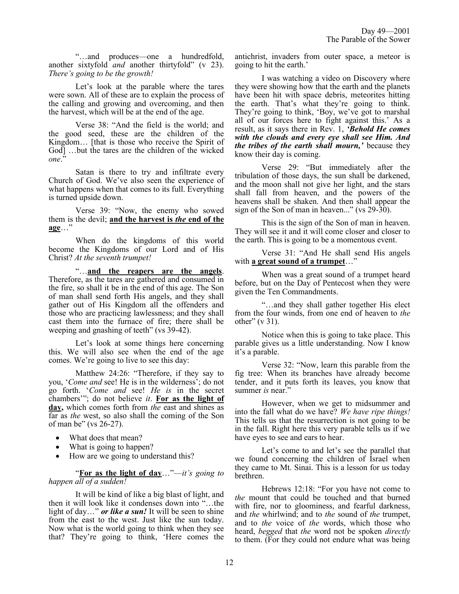"…and produces—one a hundredfold, another sixtyfold *and* another thirtyfold" (v 23). *There's going to be the growth!*

Let's look at the parable where the tares were sown. All of these are to explain the process of the calling and growing and overcoming, and then the harvest, which will be at the end of the age.

Verse 38: "And the field is the world; and the good seed, these are the children of the Kingdom… [that is those who receive the Spirit of God] …but the tares are the children of the wicked *one*."

Satan is there to try and infiltrate every Church of God. We've also seen the experience of what happens when that comes to its full. Everything is turned upside down.

Verse 39: "Now, the enemy who sowed them is the devil; **and the harvest is** *the* **end of the age**…"

When do the kingdoms of this world become the Kingdoms of our Lord and of His Christ? *At the seventh trumpet!*

"…**and the reapers are the angels**. Therefore, as the tares are gathered and consumed in the fire, so shall it be in the end of this age. The Son of man shall send forth His angels, and they shall gather out of His Kingdom all the offenders and those who are practicing lawlessness; and they shall cast them into the furnace of fire; there shall be weeping and gnashing of teeth" (vs 39-42).

Let's look at some things here concerning this. We will also see when the end of the age comes. We're going to live to see this day:

Matthew 24:26: "Therefore, if they say to you, '*Come and* see! He is in the wilderness'; do not go forth. '*Come and* see! *He is* in the secret chambers'"; do not believe *it*. **For as the light of day,** which comes forth from *the* east and shines as far as *the* west, so also shall the coming of the Son of man be" (vs 26-27).

- What does that mean?
- What is going to happen?
- How are we going to understand this?

"**For as the light of day**…"—*it's going to happen all of a sudden!*

It will be kind of like a big blast of light, and then it will look like it condenses down into "…the light of day…" *or like a sun!* It will be seen to shine from the east to the west. Just like the sun today. Now what is the world going to think when they see that? They're going to think, 'Here comes the antichrist, invaders from outer space, a meteor is going to hit the earth.'

I was watching a video on Discovery where they were showing how that the earth and the planets have been hit with space debris, meteorites hitting the earth. That's what they're going to think. They're going to think, 'Boy, we've got to marshal all of our forces here to fight against this.' As a result, as it says there in Rev. 1, *'Behold He comes with the clouds and every eye shall see Him. And the tribes of the earth shall mourn,'* because they know their day is coming.

Verse 29: "But immediately after the tribulation of those days, the sun shall be darkened, and the moon shall not give her light, and the stars shall fall from heaven, and the powers of the heavens shall be shaken. And then shall appear the sign of the Son of man in heaven..." (vs 29-30).

This is the sign of the Son of man in heaven. They will see it and it will come closer and closer to the earth. This is going to be a momentous event.

Verse 31: "And He shall send His angels with **a great sound of a trumpet**…"

When was a great sound of a trumpet heard before, but on the Day of Pentecost when they were given the Ten Commandments.

"…and they shall gather together His elect from the four winds, from one end of heaven to *the* other" (v 31).

Notice when this is going to take place. This parable gives us a little understanding. Now I know it's a parable.

Verse 32: "Now, learn this parable from the fig tree: When its branches have already become tender, and it puts forth its leaves, you know that summer *is* near."

However, when we get to midsummer and into the fall what do we have? *We have ripe things!* This tells us that the resurrection is not going to be in the fall. Right here this very parable tells us if we have eyes to see and ears to hear.

Let's come to and let's see the parallel that we found concerning the children of Israel when they came to Mt. Sinai. This is a lesson for us today brethren.

Hebrews 12:18: "For you have not come to *the* mount that could be touched and that burned with fire, nor to gloominess, and fearful darkness, and *the* whirlwind; and to *the* sound of *the* trumpet, and to *the* voice of *the* words, which those who heard, *begged* that *the* word not be spoken *directly* to them. (For they could not endure what was being